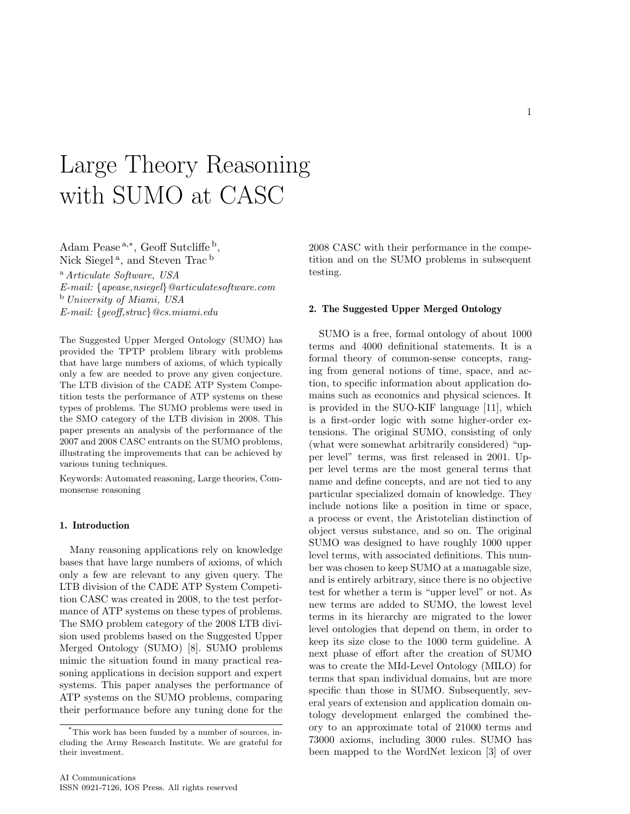# Large Theory Reasoning with SUMO at CASC

Adam Pease<sup>a,\*</sup>, Geoff Sutcliffe<sup>b</sup>, Nick Siegel<sup>a</sup>, and Steven Trac<sup>b</sup> <sup>a</sup> Articulate Software, USA E-mail: {apease,nsiegel}@articulatesoftware.com <sup>b</sup> University of Miami, USA E-mail: {geoff,strac}@cs.miami.edu

The Suggested Upper Merged Ontology (SUMO) has provided the TPTP problem library with problems that have large numbers of axioms, of which typically only a few are needed to prove any given conjecture. The LTB division of the CADE ATP System Competition tests the performance of ATP systems on these types of problems. The SUMO problems were used in the SMO category of the LTB division in 2008. This paper presents an analysis of the performance of the 2007 and 2008 CASC entrants on the SUMO problems, illustrating the improvements that can be achieved by various tuning techniques.

Keywords: Automated reasoning, Large theories, Commonsense reasoning

#### 1. Introduction

Many reasoning applications rely on knowledge bases that have large numbers of axioms, of which only a few are relevant to any given query. The LTB division of the CADE ATP System Competition CASC was created in 2008, to the test performance of ATP systems on these types of problems. The SMO problem category of the 2008 LTB division used problems based on the Suggested Upper Merged Ontology (SUMO) [8]. SUMO problems mimic the situation found in many practical reasoning applications in decision support and expert systems. This paper analyses the performance of ATP systems on the SUMO problems, comparing their performance before any tuning done for the 2008 CASC with their performance in the competition and on the SUMO problems in subsequent testing.

#### 2. The Suggested Upper Merged Ontology

SUMO is a free, formal ontology of about 1000 terms and 4000 definitional statements. It is a formal theory of common-sense concepts, ranging from general notions of time, space, and action, to specific information about application domains such as economics and physical sciences. It is provided in the SUO-KIF language [11], which is a first-order logic with some higher-order extensions. The original SUMO, consisting of only (what were somewhat arbitrarily considered) "upper level" terms, was first released in 2001. Upper level terms are the most general terms that name and define concepts, and are not tied to any particular specialized domain of knowledge. They include notions like a position in time or space, a process or event, the Aristotelian distinction of object versus substance, and so on. The original SUMO was designed to have roughly 1000 upper level terms, with associated definitions. This number was chosen to keep SUMO at a managable size, and is entirely arbitrary, since there is no objective test for whether a term is "upper level" or not. As new terms are added to SUMO, the lowest level terms in its hierarchy are migrated to the lower level ontologies that depend on them, in order to keep its size close to the 1000 term guideline. A next phase of effort after the creation of SUMO was to create the MId-Level Ontology (MILO) for terms that span individual domains, but are more specific than those in SUMO. Subsequently, several years of extension and application domain ontology development enlarged the combined theory to an approximate total of 21000 terms and 73000 axioms, including 3000 rules. SUMO has been mapped to the WordNet lexicon [3] of over

<sup>\*</sup>This work has been funded by a number of sources, including the Army Research Institute. We are grateful for their investment.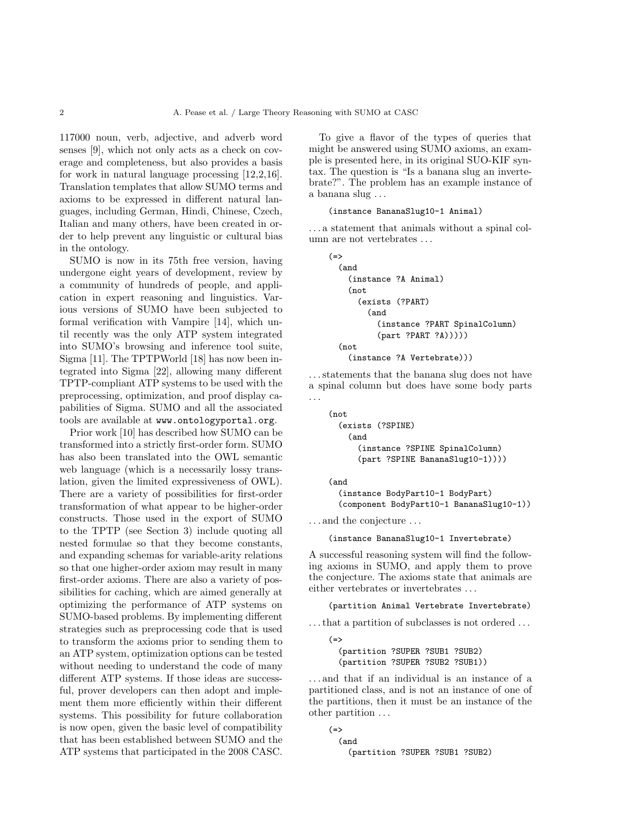117000 noun, verb, adjective, and adverb word senses [9], which not only acts as a check on coverage and completeness, but also provides a basis for work in natural language processing [12,2,16]. Translation templates that allow SUMO terms and axioms to be expressed in different natural languages, including German, Hindi, Chinese, Czech, Italian and many others, have been created in order to help prevent any linguistic or cultural bias in the ontology.

SUMO is now in its 75th free version, having undergone eight years of development, review by a community of hundreds of people, and application in expert reasoning and linguistics. Various versions of SUMO have been subjected to formal verification with Vampire [14], which until recently was the only ATP system integrated into SUMO's browsing and inference tool suite, Sigma [11]. The TPTPWorld [18] has now been integrated into Sigma [22], allowing many different TPTP-compliant ATP systems to be used with the preprocessing, optimization, and proof display capabilities of Sigma. SUMO and all the associated tools are available at www.ontologyportal.org.

Prior work [10] has described how SUMO can be transformed into a strictly first-order form. SUMO has also been translated into the OWL semantic web language (which is a necessarily lossy translation, given the limited expressiveness of OWL). There are a variety of possibilities for first-order transformation of what appear to be higher-order constructs. Those used in the export of SUMO to the TPTP (see Section 3) include quoting all nested formulae so that they become constants, and expanding schemas for variable-arity relations so that one higher-order axiom may result in many first-order axioms. There are also a variety of possibilities for caching, which are aimed generally at optimizing the performance of ATP systems on SUMO-based problems. By implementing different strategies such as preprocessing code that is used to transform the axioms prior to sending them to an ATP system, optimization options can be tested without needing to understand the code of many different ATP systems. If those ideas are successful, prover developers can then adopt and implement them more efficiently within their different systems. This possibility for future collaboration is now open, given the basic level of compatibility that has been established between SUMO and the ATP systems that participated in the 2008 CASC.

To give a flavor of the types of queries that might be answered using SUMO axioms, an example is presented here, in its original SUO-KIF syntax. The question is "Is a banana slug an invertebrate?". The problem has an example instance of a banana slug . . .

#### (instance BananaSlug10-1 Animal)

. . . a statement that animals without a spinal column are not vertebrates ...

```
(=)(and
    (instance ?A Animal)
    (not
      (exists (?PART)
        (and
          (instance ?PART SpinalColumn)
          (part ?PART ?A)))))
  (not
    (instance ?A Vertebrate)))
```
. . . statements that the banana slug does not have a spinal column but does have some body parts . . .

```
(not
  (exists (?SPINE)
    (and
      (instance ?SPINE SpinalColumn)
      (part ?SPINE BananaSlug10-1))))
```
(and

```
(instance BodyPart10-1 BodyPart)
(component BodyPart10-1 BananaSlug10-1))
```
. . . and the conjecture . . .

(instance BananaSlug10-1 Invertebrate)

A successful reasoning system will find the following axioms in SUMO, and apply them to prove the conjecture. The axioms state that animals are either vertebrates or invertebrates . . .

(partition Animal Vertebrate Invertebrate)

. . . that a partition of subclasses is not ordered . . .

```
(=)(partition ?SUPER ?SUB1 ?SUB2)
 (partition ?SUPER ?SUB2 ?SUB1))
```
. . . and that if an individual is an instance of a partitioned class, and is not an instance of one of the partitions, then it must be an instance of the other partition . . .

```
(=>
  (and
    (partition ?SUPER ?SUB1 ?SUB2)
```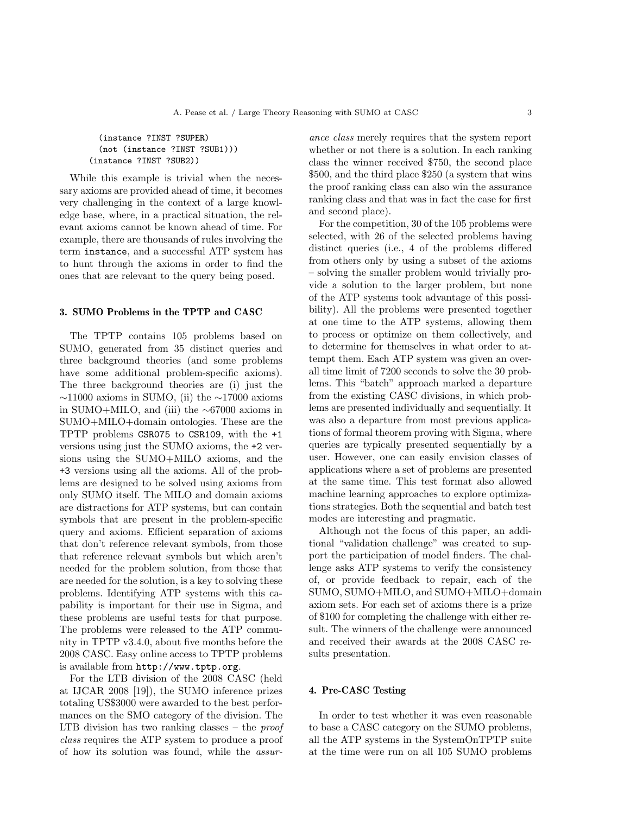(instance ?INST ?SUPER) (not (instance ?INST ?SUB1))) (instance ?INST ?SUB2))

While this example is trivial when the necessary axioms are provided ahead of time, it becomes very challenging in the context of a large knowledge base, where, in a practical situation, the relevant axioms cannot be known ahead of time. For example, there are thousands of rules involving the term instance, and a successful ATP system has to hunt through the axioms in order to find the ones that are relevant to the query being posed.

## 3. SUMO Problems in the TPTP and CASC

The TPTP contains 105 problems based on SUMO, generated from 35 distinct queries and three background theories (and some problems have some additional problem-specific axioms). The three background theories are (i) just the  $\sim$ 11000 axioms in SUMO, (ii) the  $\sim$ 17000 axioms in SUMO+MILO, and (iii) the ∼67000 axioms in SUMO+MILO+domain ontologies. These are the TPTP problems CSR075 to CSR109, with the +1 versions using just the SUMO axioms, the +2 versions using the SUMO+MILO axioms, and the +3 versions using all the axioms. All of the problems are designed to be solved using axioms from only SUMO itself. The MILO and domain axioms are distractions for ATP systems, but can contain symbols that are present in the problem-specific query and axioms. Efficient separation of axioms that don't reference relevant symbols, from those that reference relevant symbols but which aren't needed for the problem solution, from those that are needed for the solution, is a key to solving these problems. Identifying ATP systems with this capability is important for their use in Sigma, and these problems are useful tests for that purpose. The problems were released to the ATP community in TPTP v3.4.0, about five months before the 2008 CASC. Easy online access to TPTP problems is available from http://www.tptp.org.

For the LTB division of the 2008 CASC (held at IJCAR 2008 [19]), the SUMO inference prizes totaling US\$3000 were awarded to the best performances on the SMO category of the division. The LTB division has two ranking classes  $-$  the *proof* class requires the ATP system to produce a proof of how its solution was found, while the assurance class merely requires that the system report whether or not there is a solution. In each ranking class the winner received \$750, the second place \$500, and the third place \$250 (a system that wins the proof ranking class can also win the assurance ranking class and that was in fact the case for first and second place).

For the competition, 30 of the 105 problems were selected, with 26 of the selected problems having distinct queries (i.e., 4 of the problems differed from others only by using a subset of the axioms – solving the smaller problem would trivially provide a solution to the larger problem, but none of the ATP systems took advantage of this possibility). All the problems were presented together at one time to the ATP systems, allowing them to process or optimize on them collectively, and to determine for themselves in what order to attempt them. Each ATP system was given an overall time limit of 7200 seconds to solve the 30 problems. This "batch" approach marked a departure from the existing CASC divisions, in which problems are presented individually and sequentially. It was also a departure from most previous applications of formal theorem proving with Sigma, where queries are typically presented sequentially by a user. However, one can easily envision classes of applications where a set of problems are presented at the same time. This test format also allowed machine learning approaches to explore optimizations strategies. Both the sequential and batch test modes are interesting and pragmatic.

Although not the focus of this paper, an additional "validation challenge" was created to support the participation of model finders. The challenge asks ATP systems to verify the consistency of, or provide feedback to repair, each of the SUMO, SUMO+MILO, and SUMO+MILO+domain axiom sets. For each set of axioms there is a prize of \$100 for completing the challenge with either result. The winners of the challenge were announced and received their awards at the 2008 CASC results presentation.

#### 4. Pre-CASC Testing

In order to test whether it was even reasonable to base a CASC category on the SUMO problems, all the ATP systems in the SystemOnTPTP suite at the time were run on all 105 SUMO problems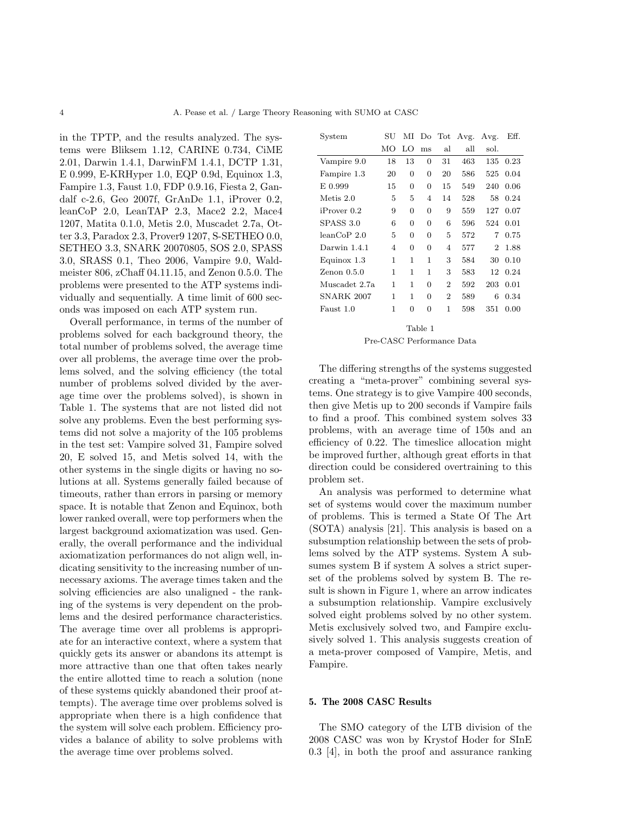in the TPTP, and the results analyzed. The systems were Bliksem 1.12, CARINE 0.734, CiME 2.01, Darwin 1.4.1, DarwinFM 1.4.1, DCTP 1.31, E 0.999, E-KRHyper 1.0, EQP 0.9d, Equinox 1.3, Fampire 1.3, Faust 1.0, FDP 0.9.16, Fiesta 2, Gandalf c-2.6, Geo 2007f, GrAnDe 1.1, iProver 0.2, leanCoP 2.0, LeanTAP 2.3, Mace2 2.2, Mace4 1207, Matita 0.1.0, Metis 2.0, Muscadet 2.7a, Otter 3.3, Paradox 2.3, Prover9 1207, S-SETHEO 0.0, SETHEO 3.3, SNARK 20070805, SOS 2.0, SPASS 3.0, SRASS 0.1, Theo 2006, Vampire 9.0, Waldmeister 806, zChaff 04.11.15, and Zenon 0.5.0. The problems were presented to the ATP systems individually and sequentially. A time limit of 600 seconds was imposed on each ATP system run.

Overall performance, in terms of the number of problems solved for each background theory, the total number of problems solved, the average time over all problems, the average time over the problems solved, and the solving efficiency (the total number of problems solved divided by the average time over the problems solved), is shown in Table 1. The systems that are not listed did not solve any problems. Even the best performing systems did not solve a majority of the 105 problems in the test set: Vampire solved 31, Fampire solved 20, E solved 15, and Metis solved 14, with the other systems in the single digits or having no solutions at all. Systems generally failed because of timeouts, rather than errors in parsing or memory space. It is notable that Zenon and Equinox, both lower ranked overall, were top performers when the largest background axiomatization was used. Generally, the overall performance and the individual axiomatization performances do not align well, indicating sensitivity to the increasing number of unnecessary axioms. The average times taken and the solving efficiencies are also unaligned - the ranking of the systems is very dependent on the problems and the desired performance characteristics. The average time over all problems is appropriate for an interactive context, where a system that quickly gets its answer or abandons its attempt is more attractive than one that often takes nearly the entire allotted time to reach a solution (none of these systems quickly abandoned their proof attempts). The average time over problems solved is appropriate when there is a high confidence that the system will solve each problem. Efficiency provides a balance of ability to solve problems with the average time over problems solved.

| System            | SU             | ΜΙ |                | Do Tot         | Avg. | Avg.           | Eff. |
|-------------------|----------------|----|----------------|----------------|------|----------------|------|
|                   | MО             | LO | ms             | al             | all  | sol.           |      |
| Vampire 9.0       | 18             | 13 | 0              | 31             | 463  | 135            | 0.23 |
| Fampire 1.3       | 20             | 0  | 0              | 20             | 586  | 525            | 0.04 |
| E 0.999           | 15             | 0  | 0              | 15             | 549  | 240            | 0.06 |
| Metis 2.0         | 5              | 5  | 4              | 14             | 528  | 58             | 0.24 |
| iProver 0.2       | 9              | 0  | 0              | 9              | 559  | 127            | 0.07 |
| SPASS 3.0         | 6              | 0  | 0              | 6              | 596  | 524            | 0.01 |
| leanCoP2.0        | 5              | 0  | $\Omega$       | 5              | 572  | 7              | 0.75 |
| Darwin 1.4.1      | $\overline{4}$ | 0  | $\overline{0}$ | 4              | 577  | $\overline{2}$ | 1.88 |
| Equinox 1.3       | 1              | 1  | 1              | 3              | 584  | 30             | 0.10 |
| $Zenon$ 0.5.0     | 1              | 1  | 1              | 3              | 583  | 12             | 0.24 |
| Muscadet 2.7a     | 1              | 1  | 0              | $\overline{2}$ | 592  | 203            | 0.01 |
| <b>SNARK 2007</b> | 1              | 1  | 0              | $\overline{2}$ | 589  | 6              | 0.34 |
| Faust 1.0         | 1              | 0  | $\Omega$       | 1              | 598  | 351            | 0.00 |
| Table 1           |                |    |                |                |      |                |      |

#### Pre-CASC Performance Data

The differing strengths of the systems suggested creating a "meta-prover" combining several systems. One strategy is to give Vampire 400 seconds, then give Metis up to 200 seconds if Vampire fails to find a proof. This combined system solves 33 problems, with an average time of 150s and an efficiency of 0.22. The timeslice allocation might be improved further, although great efforts in that direction could be considered overtraining to this problem set.

An analysis was performed to determine what set of systems would cover the maximum number of problems. This is termed a State Of The Art (SOTA) analysis [21]. This analysis is based on a subsumption relationship between the sets of problems solved by the ATP systems. System A subsumes system B if system A solves a strict superset of the problems solved by system B. The result is shown in Figure 1, where an arrow indicates a subsumption relationship. Vampire exclusively solved eight problems solved by no other system. Metis exclusively solved two, and Fampire exclusively solved 1. This analysis suggests creation of a meta-prover composed of Vampire, Metis, and Fampire.

## 5. The 2008 CASC Results

The SMO category of the LTB division of the 2008 CASC was won by Krystof Hoder for SInE 0.3 [4], in both the proof and assurance ranking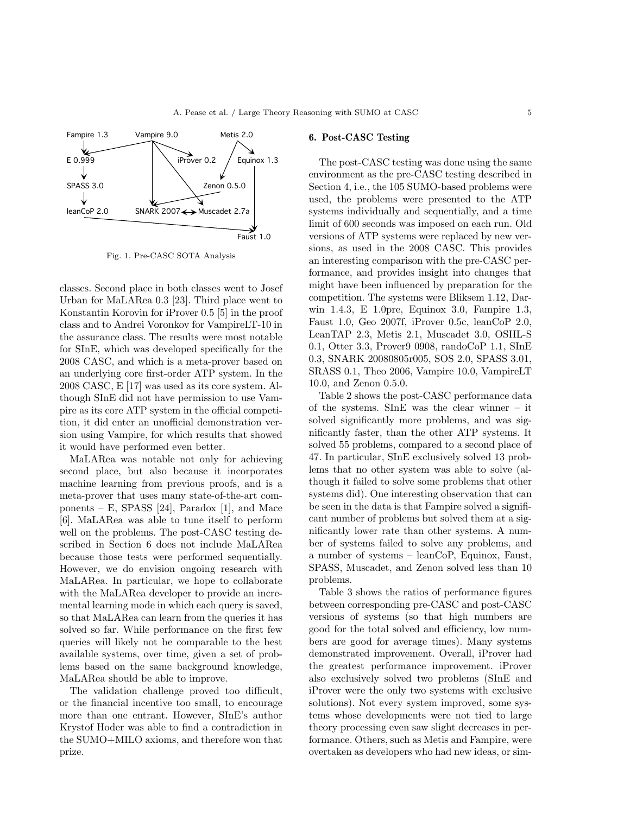

Fig. 1. Pre-CASC SOTA Analysis

classes. Second place in both classes went to Josef Urban for MaLARea 0.3 [23]. Third place went to Konstantin Korovin for iProver 0.5 [5] in the proof class and to Andrei Voronkov for VampireLT-10 in the assurance class. The results were most notable for SInE, which was developed specifically for the 2008 CASC, and which is a meta-prover based on an underlying core first-order ATP system. In the 2008 CASC, E [17] was used as its core system. Although SInE did not have permission to use Vampire as its core ATP system in the official competition, it did enter an unofficial demonstration version using Vampire, for which results that showed it would have performed even better.

MaLARea was notable not only for achieving second place, but also because it incorporates machine learning from previous proofs, and is a meta-prover that uses many state-of-the-art components – E, SPASS [24], Paradox [1], and Mace [6]. MaLARea was able to tune itself to perform well on the problems. The post-CASC testing described in Section 6 does not include MaLARea because those tests were performed sequentially. However, we do envision ongoing research with MaLARea. In particular, we hope to collaborate with the MaLARea developer to provide an incremental learning mode in which each query is saved, so that MaLARea can learn from the queries it has solved so far. While performance on the first few queries will likely not be comparable to the best available systems, over time, given a set of problems based on the same background knowledge, MaLARea should be able to improve.

The validation challenge proved too difficult, or the financial incentive too small, to encourage more than one entrant. However, SInE's author Krystof Hoder was able to find a contradiction in the SUMO+MILO axioms, and therefore won that prize.

#### 6. Post-CASC Testing

The post-CASC testing was done using the same environment as the pre-CASC testing described in Section 4, i.e., the 105 SUMO-based problems were used, the problems were presented to the ATP systems individually and sequentially, and a time limit of 600 seconds was imposed on each run. Old versions of ATP systems were replaced by new versions, as used in the 2008 CASC. This provides an interesting comparison with the pre-CASC performance, and provides insight into changes that might have been influenced by preparation for the competition. The systems were Bliksem 1.12, Darwin 1.4.3, E 1.0pre, Equinox 3.0, Fampire 1.3, Faust 1.0, Geo 2007f, iProver 0.5c, leanCoP 2.0, LeanTAP 2.3, Metis 2.1, Muscadet 3.0, OSHL-S 0.1, Otter 3.3, Prover9 0908, randoCoP 1.1, SInE 0.3, SNARK 20080805r005, SOS 2.0, SPASS 3.01, SRASS 0.1, Theo 2006, Vampire 10.0, VampireLT 10.0, and Zenon 0.5.0.

Table 2 shows the post-CASC performance data of the systems. SInE was the clear winner – it solved significantly more problems, and was significantly faster, than the other ATP systems. It solved 55 problems, compared to a second place of 47. In particular, SInE exclusively solved 13 problems that no other system was able to solve (although it failed to solve some problems that other systems did). One interesting observation that can be seen in the data is that Fampire solved a significant number of problems but solved them at a significantly lower rate than other systems. A number of systems failed to solve any problems, and a number of systems – leanCoP, Equinox, Faust, SPASS, Muscadet, and Zenon solved less than 10 problems.

Table 3 shows the ratios of performance figures between corresponding pre-CASC and post-CASC versions of systems (so that high numbers are good for the total solved and efficiency, low numbers are good for average times). Many systems demonstrated improvement. Overall, iProver had the greatest performance improvement. iProver also exclusively solved two problems (SInE and iProver were the only two systems with exclusive solutions). Not every system improved, some systems whose developments were not tied to large theory processing even saw slight decreases in performance. Others, such as Metis and Fampire, were overtaken as developers who had new ideas, or sim-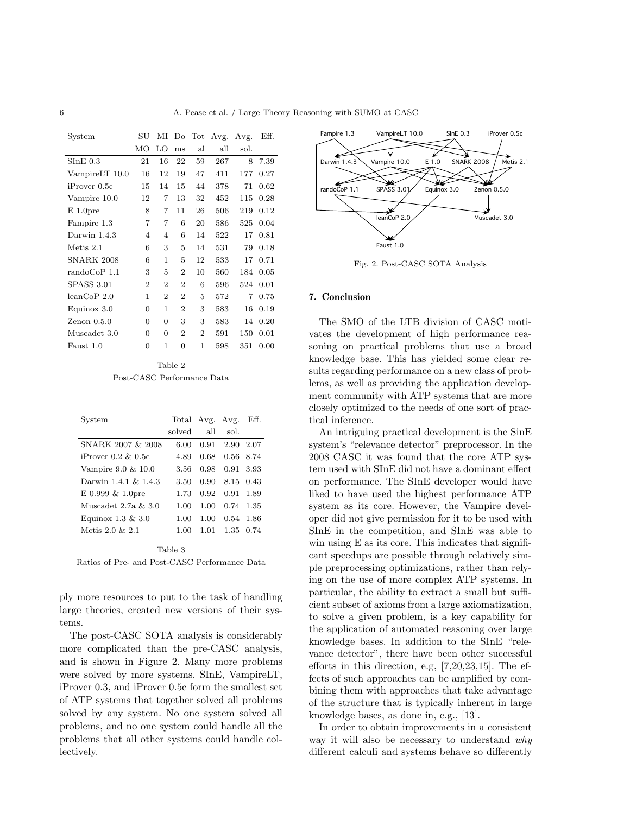| System                 | SU             | ΜΙ             | Do             | $\operatorname{Tot}$ | Avg. | Avg. | Eff. |
|------------------------|----------------|----------------|----------------|----------------------|------|------|------|
|                        | MO             | LО             | ms             | al                   | all  | sol. |      |
| $SInE$ 0.3             | 21             | 16             | 22             | 59                   | 267  | 8    | 7.39 |
| VampireLT 10.0         | 16             | 12             | 19             | 47                   | 411  | 177  | 0.27 |
| iProver 0.5c           | 15             | 14             | 15             | 44                   | 378  | 71   | 0.62 |
| Vampire 10.0           | 12             | 7              | 13             | 32                   | 452  | 115  | 0.28 |
| $E$ 1.0 pre            | 8              | 7              | 11             | 26                   | 506  | 219  | 0.12 |
| Fampire 1.3            | 7              | 7              | 6              | 20                   | 586  | 525  | 0.04 |
| Darwin 1.4.3           | 4              | 4              | 6              | 14                   | 522  | 17   | 0.81 |
| Metis 2.1              | 6              | 3              | 5              | 14                   | 531  | 79   | 0.18 |
| <b>SNARK 2008</b>      | 6              | 1              | 5              | 12                   | 533  | 17   | 0.71 |
| $\text{randomCoP}$ 1.1 | 3              | 5              | $\overline{2}$ | 10                   | 560  | 184  | 0.05 |
| SPASS 3.01             | $\overline{2}$ | $\overline{2}$ | $\overline{2}$ | 6                    | 596  | 524  | 0.01 |
| leanCoP2.0             | 1              | $\overline{2}$ | $\overline{2}$ | 5                    | 572  | 7    | 0.75 |
| Equinox 3.0            | $\Omega$       | 1              | $\overline{2}$ | 3                    | 583  | 16   | 0.19 |
| $\text{Zenon } 0.5.0$  | 0              | 0              | 3              | 3                    | 583  | 14   | 0.20 |
| Muscadet 3.0           | $\Omega$       | 0              | $\overline{2}$ | $\overline{2}$       | 591  | 150  | 0.01 |
| Faust 1.0              | $\Omega$       | 1              | 0              | 1                    | 598  | 351  | 0.00 |
|                        |                |                |                |                      |      |      |      |

Table 2 Post-CASC Performance Data

| System                   | Total Avg. Avg. |      |           | Eff.      |
|--------------------------|-----------------|------|-----------|-----------|
|                          | solved          | all  | sol.      |           |
| SNARK 2007 & 2008        | 6.00            | 0.91 | 2.90      | 2.07      |
| $i$ Prover 0.2 $\&$ 0.5c | 4.89            | 0.68 | 0.56 8.74 |           |
| Vampire 9.0 & 10.0       | 3.56            | 0.98 | 0.91      | 3.93      |
| Darwin 1.4.1 & 1.4.3     | 3.50            | 0.90 | 8.15 0.43 |           |
| $E$ 0.999 $\&$ 1.0 pre   | 1.73            | 0.92 | 0.91      | 1.89      |
| Muscadet $2.7a \& 3.0$   | 1.00            | 1.00 | 0.74      | -1.35     |
| Equinox $1.3 \& 3.0$     | 1.00            | 1.00 | 0.54      | 1.86      |
| Metis $2.0 \& 2.1$       | 1.00            | 1.01 |           | 1.35 0.74 |
|                          |                 |      |           |           |

Table 3 Ratios of Pre- and Post-CASC Performance Data

ply more resources to put to the task of handling large theories, created new versions of their systems.

The post-CASC SOTA analysis is considerably more complicated than the pre-CASC analysis, and is shown in Figure 2. Many more problems were solved by more systems. SInE, VampireLT, iProver 0.3, and iProver 0.5c form the smallest set of ATP systems that together solved all problems solved by any system. No one system solved all problems, and no one system could handle all the problems that all other systems could handle collectively.



Fig. 2. Post-CASC SOTA Analysis

# 7. Conclusion

The SMO of the LTB division of CASC motivates the development of high performance reasoning on practical problems that use a broad knowledge base. This has yielded some clear results regarding performance on a new class of problems, as well as providing the application development community with ATP systems that are more closely optimized to the needs of one sort of practical inference.

An intriguing practical development is the SinE system's "relevance detector" preprocessor. In the 2008 CASC it was found that the core ATP system used with SInE did not have a dominant effect on performance. The SInE developer would have liked to have used the highest performance ATP system as its core. However, the Vampire developer did not give permission for it to be used with SInE in the competition, and SInE was able to win using E as its core. This indicates that significant speedups are possible through relatively simple preprocessing optimizations, rather than relying on the use of more complex ATP systems. In particular, the ability to extract a small but sufficient subset of axioms from a large axiomatization, to solve a given problem, is a key capability for the application of automated reasoning over large knowledge bases. In addition to the SInE "relevance detector", there have been other successful efforts in this direction, e.g, [7,20,23,15]. The effects of such approaches can be amplified by combining them with approaches that take advantage of the structure that is typically inherent in large knowledge bases, as done in, e.g., [13].

In order to obtain improvements in a consistent way it will also be necessary to understand why different calculi and systems behave so differently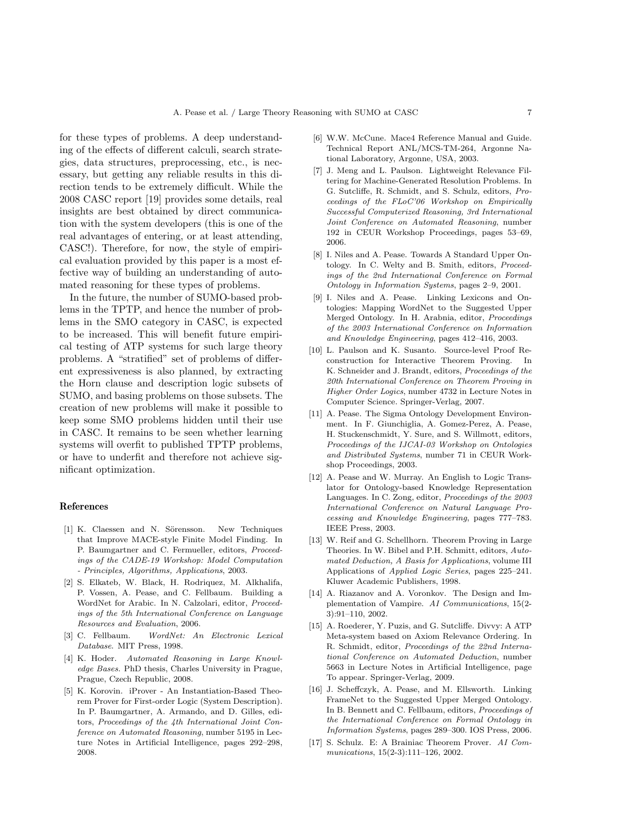for these types of problems. A deep understanding of the effects of different calculi, search strategies, data structures, preprocessing, etc., is necessary, but getting any reliable results in this direction tends to be extremely difficult. While the 2008 CASC report [19] provides some details, real insights are best obtained by direct communication with the system developers (this is one of the real advantages of entering, or at least attending, CASC!). Therefore, for now, the style of empirical evaluation provided by this paper is a most effective way of building an understanding of automated reasoning for these types of problems.

In the future, the number of SUMO-based problems in the TPTP, and hence the number of problems in the SMO category in CASC, is expected to be increased. This will benefit future empirical testing of ATP systems for such large theory problems. A "stratified" set of problems of different expressiveness is also planned, by extracting the Horn clause and description logic subsets of SUMO, and basing problems on those subsets. The creation of new problems will make it possible to keep some SMO problems hidden until their use in CASC. It remains to be seen whether learning systems will overfit to published TPTP problems, or have to underfit and therefore not achieve significant optimization.

## References

- [1] K. Claessen and N. Sörensson. New Techniques that Improve MACE-style Finite Model Finding. In P. Baumgartner and C. Fermueller, editors, Proceedings of the CADE-19 Workshop: Model Computation - Principles, Algorithms, Applications, 2003.
- [2] S. Elkateb, W. Black, H. Rodriquez, M. Alkhalifa, P. Vossen, A. Pease, and C. Fellbaum. Building a WordNet for Arabic. In N. Calzolari, editor, Proceedings of the 5th International Conference on Language Resources and Evaluation, 2006.
- [3] C. Fellbaum. WordNet: An Electronic Lexical Database. MIT Press, 1998.
- [4] K. Hoder. Automated Reasoning in Large Knowledge Bases. PhD thesis, Charles University in Prague, Prague, Czech Republic, 2008.
- [5] K. Korovin. iProver An Instantiation-Based Theorem Prover for First-order Logic (System Description). In P. Baumgartner, A. Armando, and D. Gilles, editors, Proceedings of the 4th International Joint Conference on Automated Reasoning, number 5195 in Lecture Notes in Artificial Intelligence, pages 292–298, 2008.
- [6] W.W. McCune. Mace4 Reference Manual and Guide. Technical Report ANL/MCS-TM-264, Argonne National Laboratory, Argonne, USA, 2003.
- [7] J. Meng and L. Paulson. Lightweight Relevance Filtering for Machine-Generated Resolution Problems. In G. Sutcliffe, R. Schmidt, and S. Schulz, editors, Proceedings of the FLoC'06 Workshop on Empirically Successful Computerized Reasoning, 3rd International Joint Conference on Automated Reasoning, number 192 in CEUR Workshop Proceedings, pages 53–69, 2006.
- [8] I. Niles and A. Pease. Towards A Standard Upper Ontology. In C. Welty and B. Smith, editors, Proceedings of the 2nd International Conference on Formal Ontology in Information Systems, pages 2–9, 2001.
- [9] I. Niles and A. Pease. Linking Lexicons and Ontologies: Mapping WordNet to the Suggested Upper Merged Ontology. In H. Arabnia, editor, Proceedings of the 2003 International Conference on Information and Knowledge Engineering, pages 412–416, 2003.
- [10] L. Paulson and K. Susanto. Source-level Proof Reconstruction for Interactive Theorem Proving. In K. Schneider and J. Brandt, editors, Proceedings of the 20th International Conference on Theorem Proving in Higher Order Logics, number 4732 in Lecture Notes in Computer Science. Springer-Verlag, 2007.
- [11] A. Pease. The Sigma Ontology Development Environment. In F. Giunchiglia, A. Gomez-Perez, A. Pease, H. Stuckenschmidt, Y. Sure, and S. Willmott, editors, Proceedings of the IJCAI-03 Workshop on Ontologies and Distributed Systems, number 71 in CEUR Workshop Proceedings, 2003.
- [12] A. Pease and W. Murray. An English to Logic Translator for Ontology-based Knowledge Representation Languages. In C. Zong, editor, Proceedings of the 2003 International Conference on Natural Language Processing and Knowledge Engineering, pages 777–783. IEEE Press, 2003.
- [13] W. Reif and G. Schellhorn. Theorem Proving in Large Theories. In W. Bibel and P.H. Schmitt, editors, Automated Deduction, A Basis for Applications, volume III Applications of Applied Logic Series, pages 225–241. Kluwer Academic Publishers, 1998.
- [14] A. Riazanov and A. Voronkov. The Design and Implementation of Vampire. AI Communications, 15(2- 3):91–110, 2002.
- [15] A. Roederer, Y. Puzis, and G. Sutcliffe. Divvy: A ATP Meta-system based on Axiom Relevance Ordering. In R. Schmidt, editor, Proceedings of the 22nd International Conference on Automated Deduction, number 5663 in Lecture Notes in Artificial Intelligence, page To appear. Springer-Verlag, 2009.
- [16] J. Scheffczyk, A. Pease, and M. Ellsworth. Linking FrameNet to the Suggested Upper Merged Ontology. In B. Bennett and C. Fellbaum, editors, Proceedings of the International Conference on Formal Ontology in Information Systems, pages 289–300. IOS Press, 2006.
- [17] S. Schulz. E: A Brainiac Theorem Prover. AI Communications, 15(2-3):111–126, 2002.